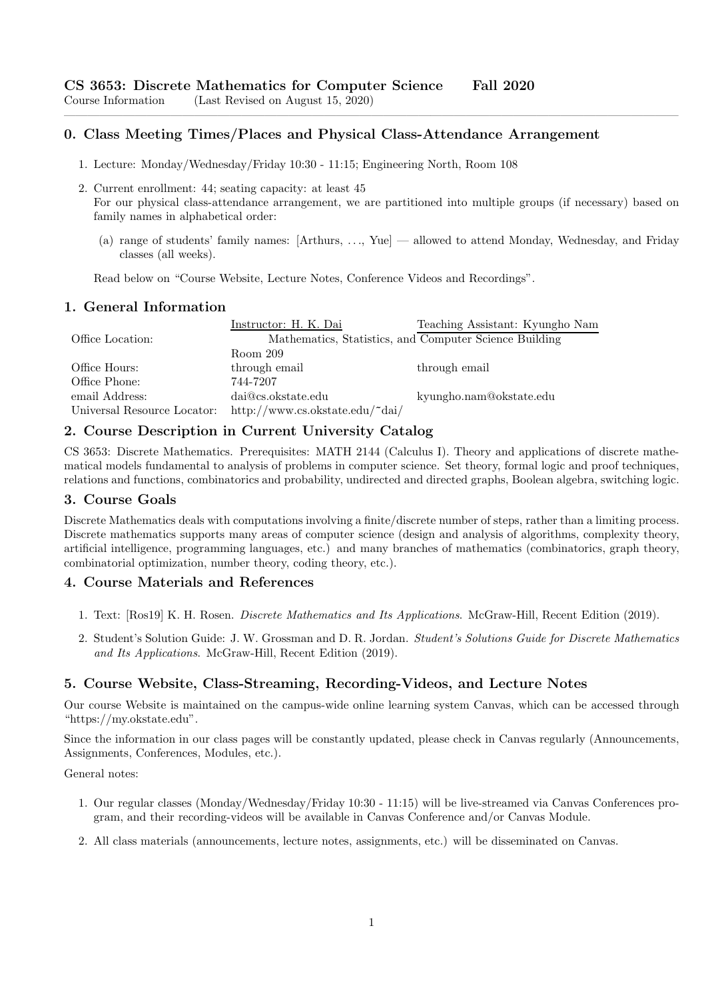## 0. Class Meeting Times/Places and Physical Class-Attendance Arrangement

- 1. Lecture: Monday/Wednesday/Friday 10:30 11:15; Engineering North, Room 108
- 2. Current enrollment: 44; seating capacity: at least 45 For our physical class-attendance arrangement, we are partitioned into multiple groups (if necessary) based on family names in alphabetical order:

————————————————————————————————————————————————————

(a) range of students' family names: [Arthurs, . . ., Yue] — allowed to attend Monday, Wednesday, and Friday classes (all weeks).

Read below on "Course Website, Lecture Notes, Conference Videos and Recordings".

#### 1. General Information

|                             | Instructor: H. K. Dai           | Teaching Assistant: Kyungho Nam                        |
|-----------------------------|---------------------------------|--------------------------------------------------------|
| Office Location:            |                                 | Mathematics, Statistics, and Computer Science Building |
|                             | Room 209                        |                                                        |
| Office Hours:               | through email                   | through email                                          |
| Office Phone:               | 744-7207                        |                                                        |
| email Address:              | dai@cs.okstate.edu              | kyungho.nam@okstate.edu                                |
| Universal Resource Locator: | http://www.cs.okstate.edu/~dai/ |                                                        |

#### 2. Course Description in Current University Catalog

CS 3653: Discrete Mathematics. Prerequisites: MATH 2144 (Calculus I). Theory and applications of discrete mathematical models fundamental to analysis of problems in computer science. Set theory, formal logic and proof techniques, relations and functions, combinatorics and probability, undirected and directed graphs, Boolean algebra, switching logic.

#### 3. Course Goals

Discrete Mathematics deals with computations involving a finite/discrete number of steps, rather than a limiting process. Discrete mathematics supports many areas of computer science (design and analysis of algorithms, complexity theory, artificial intelligence, programming languages, etc.) and many branches of mathematics (combinatorics, graph theory, combinatorial optimization, number theory, coding theory, etc.).

#### 4. Course Materials and References

- 1. Text: [Ros19] K. H. Rosen. Discrete Mathematics and Its Applications. McGraw-Hill, Recent Edition (2019).
- 2. Student's Solution Guide: J. W. Grossman and D. R. Jordan. Student's Solutions Guide for Discrete Mathematics and Its Applications. McGraw-Hill, Recent Edition (2019).

# 5. Course Website, Class-Streaming, Recording-Videos, and Lecture Notes

Our course Website is maintained on the campus-wide online learning system Canvas, which can be accessed through "https://my.okstate.edu".

Since the information in our class pages will be constantly updated, please check in Canvas regularly (Announcements, Assignments, Conferences, Modules, etc.).

General notes:

- 1. Our regular classes (Monday/Wednesday/Friday 10:30 11:15) will be live-streamed via Canvas Conferences program, and their recording-videos will be available in Canvas Conference and/or Canvas Module.
- 2. All class materials (announcements, lecture notes, assignments, etc.) will be disseminated on Canvas.